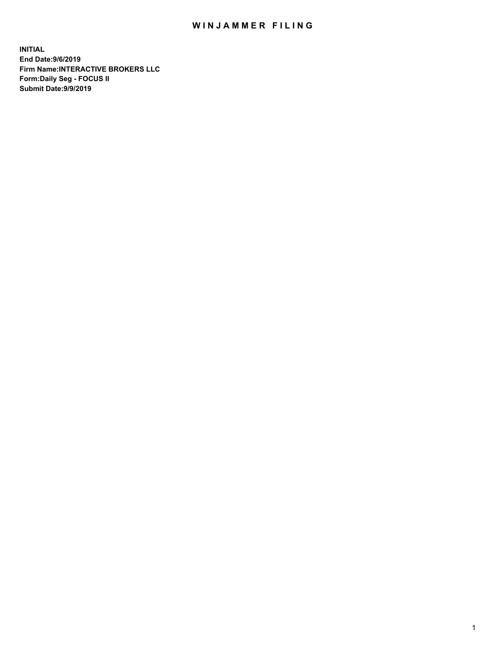## WIN JAMMER FILING

**INITIAL End Date:9/6/2019 Firm Name:INTERACTIVE BROKERS LLC Form:Daily Seg - FOCUS II Submit Date:9/9/2019**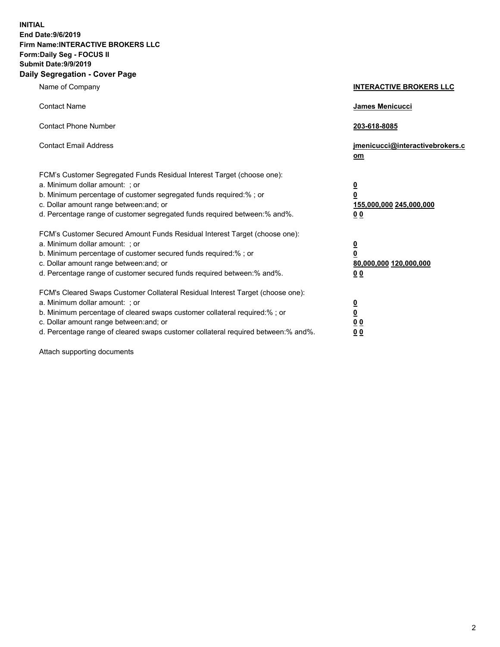**INITIAL End Date:9/6/2019 Firm Name:INTERACTIVE BROKERS LLC Form:Daily Seg - FOCUS II Submit Date:9/9/2019 Daily Segregation - Cover Page**

| Name of Company                                                                                                                                                                                                                                                                                                                | <b>INTERACTIVE BROKERS LLC</b>                                                      |
|--------------------------------------------------------------------------------------------------------------------------------------------------------------------------------------------------------------------------------------------------------------------------------------------------------------------------------|-------------------------------------------------------------------------------------|
| <b>Contact Name</b>                                                                                                                                                                                                                                                                                                            | James Menicucci                                                                     |
| <b>Contact Phone Number</b>                                                                                                                                                                                                                                                                                                    | 203-618-8085                                                                        |
| <b>Contact Email Address</b>                                                                                                                                                                                                                                                                                                   | jmenicucci@interactivebrokers.c<br>om                                               |
| FCM's Customer Segregated Funds Residual Interest Target (choose one):<br>a. Minimum dollar amount: ; or<br>b. Minimum percentage of customer segregated funds required:% ; or<br>c. Dollar amount range between: and; or<br>d. Percentage range of customer segregated funds required between:% and%.                         | $\overline{\mathbf{0}}$<br>$\overline{\mathbf{0}}$<br>155,000,000 245,000,000<br>00 |
| FCM's Customer Secured Amount Funds Residual Interest Target (choose one):<br>a. Minimum dollar amount: ; or<br>b. Minimum percentage of customer secured funds required:% ; or<br>c. Dollar amount range between: and; or<br>d. Percentage range of customer secured funds required between:% and%.                           | $\overline{\mathbf{0}}$<br>$\pmb{0}$<br>80,000,000 120,000,000<br>00                |
| FCM's Cleared Swaps Customer Collateral Residual Interest Target (choose one):<br>a. Minimum dollar amount: ; or<br>b. Minimum percentage of cleared swaps customer collateral required:% ; or<br>c. Dollar amount range between: and; or<br>d. Percentage range of cleared swaps customer collateral required between:% and%. | $\overline{\mathbf{0}}$<br>$\underline{\mathbf{0}}$<br>0 <sub>0</sub><br>00         |

Attach supporting documents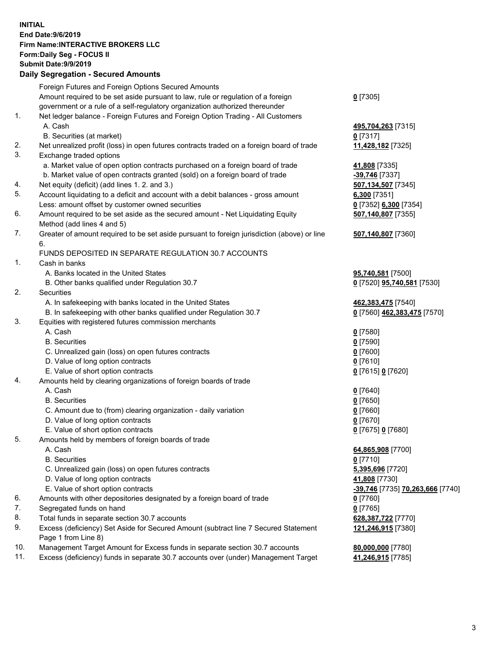## **INITIAL End Date:9/6/2019 Firm Name:INTERACTIVE BROKERS LLC Form:Daily Seg - FOCUS II Submit Date:9/9/2019 Daily Segregation - Secured Amounts**

|     | 2011, Ocgi ogation - Oceaned Anioanita                                                                     |                                  |
|-----|------------------------------------------------------------------------------------------------------------|----------------------------------|
|     | Foreign Futures and Foreign Options Secured Amounts                                                        |                                  |
|     | Amount required to be set aside pursuant to law, rule or regulation of a foreign                           | $0$ [7305]                       |
|     | government or a rule of a self-regulatory organization authorized thereunder                               |                                  |
| 1.  | Net ledger balance - Foreign Futures and Foreign Option Trading - All Customers                            |                                  |
|     | A. Cash                                                                                                    | 495,704,263 [7315]               |
|     | B. Securities (at market)                                                                                  | $0$ [7317]                       |
| 2.  | Net unrealized profit (loss) in open futures contracts traded on a foreign board of trade                  | 11,428,182 [7325]                |
| 3.  | Exchange traded options                                                                                    |                                  |
|     | a. Market value of open option contracts purchased on a foreign board of trade                             | 41,808 [7335]                    |
|     | b. Market value of open contracts granted (sold) on a foreign board of trade                               | -39,746 [7337]                   |
| 4.  | Net equity (deficit) (add lines 1. 2. and 3.)                                                              | 507,134,507 [7345]               |
| 5.  | Account liquidating to a deficit and account with a debit balances - gross amount                          | 6,300 [7351]                     |
|     | Less: amount offset by customer owned securities                                                           | 0 [7352] 6,300 [7354]            |
| 6.  | Amount required to be set aside as the secured amount - Net Liquidating Equity                             | 507,140,807 [7355]               |
|     | Method (add lines 4 and 5)                                                                                 |                                  |
| 7.  | Greater of amount required to be set aside pursuant to foreign jurisdiction (above) or line<br>6.          | 507,140,807 [7360]               |
|     | FUNDS DEPOSITED IN SEPARATE REGULATION 30.7 ACCOUNTS                                                       |                                  |
| 1.  | Cash in banks                                                                                              |                                  |
|     | A. Banks located in the United States                                                                      | 95,740,581 [7500]                |
|     | B. Other banks qualified under Regulation 30.7                                                             | 0 [7520] 95,740,581 [7530]       |
| 2.  | Securities                                                                                                 |                                  |
|     | A. In safekeeping with banks located in the United States                                                  | 462,383,475 [7540]               |
|     | B. In safekeeping with other banks qualified under Regulation 30.7                                         | 0 [7560] 462,383,475 [7570]      |
| 3.  | Equities with registered futures commission merchants                                                      |                                  |
|     | A. Cash                                                                                                    | $0$ [7580]                       |
|     | <b>B.</b> Securities                                                                                       | $0$ [7590]                       |
|     | C. Unrealized gain (loss) on open futures contracts                                                        | $0$ [7600]                       |
|     | D. Value of long option contracts                                                                          | $0$ [7610]                       |
|     | E. Value of short option contracts                                                                         | 0 [7615] 0 [7620]                |
| 4.  | Amounts held by clearing organizations of foreign boards of trade                                          |                                  |
|     | A. Cash                                                                                                    | $0$ [7640]                       |
|     | <b>B.</b> Securities                                                                                       | $0$ [7650]                       |
|     | C. Amount due to (from) clearing organization - daily variation                                            | $0$ [7660]                       |
|     | D. Value of long option contracts                                                                          | $0$ [7670]                       |
|     | E. Value of short option contracts                                                                         | 0 [7675] 0 [7680]                |
| 5.  | Amounts held by members of foreign boards of trade                                                         |                                  |
|     | A. Cash                                                                                                    | 64,865,908 [7700]                |
|     | <b>B.</b> Securities                                                                                       | $0$ [7710]                       |
|     | C. Unrealized gain (loss) on open futures contracts                                                        | 5,395,696 [7720]                 |
|     | D. Value of long option contracts                                                                          | 41,808 [7730]                    |
|     | E. Value of short option contracts                                                                         | -39,746 [7735] 70,263,666 [7740] |
| 6.  | Amounts with other depositories designated by a foreign board of trade                                     | $0$ [7760]                       |
| 7.  | Segregated funds on hand                                                                                   | $0$ [7765]                       |
| 8.  | Total funds in separate section 30.7 accounts                                                              | 628,387,722 [7770]               |
| 9.  | Excess (deficiency) Set Aside for Secured Amount (subtract line 7 Secured Statement<br>Page 1 from Line 8) | 121,246,915 [7380]               |
| 10. | Management Target Amount for Excess funds in separate section 30.7 accounts                                | 80,000,000 [7780]                |
| 11. | Excess (deficiency) funds in separate 30.7 accounts over (under) Management Target                         | 41,246,915 [7785]                |
|     |                                                                                                            |                                  |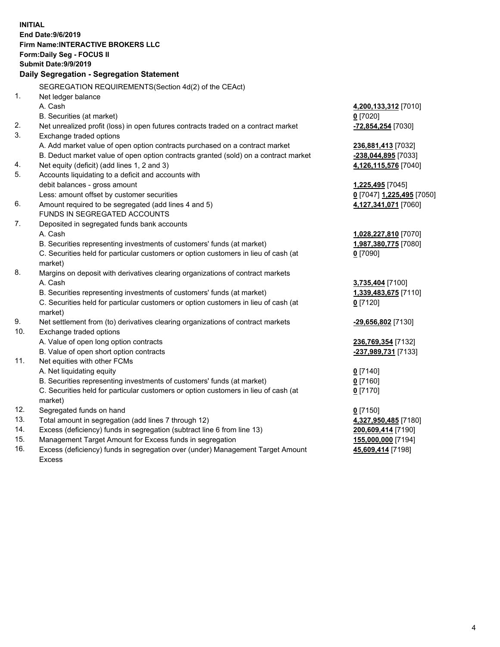|     | <b>INITIAL</b>                                                                      |                            |
|-----|-------------------------------------------------------------------------------------|----------------------------|
|     | End Date: 9/6/2019                                                                  |                            |
|     | Firm Name: INTERACTIVE BROKERS LLC                                                  |                            |
|     | Form: Daily Seg - FOCUS II                                                          |                            |
|     | <b>Submit Date: 9/9/2019</b>                                                        |                            |
|     | Daily Segregation - Segregation Statement                                           |                            |
|     | SEGREGATION REQUIREMENTS(Section 4d(2) of the CEAct)                                |                            |
| 1.  | Net ledger balance                                                                  |                            |
|     | A. Cash                                                                             | 4,200,133,312 [7010]       |
|     | B. Securities (at market)                                                           | $0$ [7020]                 |
| 2.  | Net unrealized profit (loss) in open futures contracts traded on a contract market  | -72,854,254 [7030]         |
| 3.  | Exchange traded options                                                             |                            |
|     | A. Add market value of open option contracts purchased on a contract market         | 236,881,413 [7032]         |
|     | B. Deduct market value of open option contracts granted (sold) on a contract market | -238,044,895 [7033]        |
| 4.  | Net equity (deficit) (add lines 1, 2 and 3)                                         | 4,126,115,576 [7040]       |
| 5.  | Accounts liquidating to a deficit and accounts with                                 |                            |
|     | debit balances - gross amount                                                       | 1,225,495 [7045]           |
|     | Less: amount offset by customer securities                                          | 0 [7047] 1,225,495 [7050]  |
| 6.  | Amount required to be segregated (add lines 4 and 5)                                | 4,127,341,071 [7060]       |
|     | FUNDS IN SEGREGATED ACCOUNTS                                                        |                            |
| 7.  | Deposited in segregated funds bank accounts                                         |                            |
|     | A. Cash                                                                             | 1,028,227,810 [7070]       |
|     | B. Securities representing investments of customers' funds (at market)              | 1,987,380,775 [7080]       |
|     | C. Securities held for particular customers or option customers in lieu of cash (at | $0$ [7090]                 |
|     | market)                                                                             |                            |
| 8.  | Margins on deposit with derivatives clearing organizations of contract markets      |                            |
|     | A. Cash                                                                             | 3,735,404 [7100]           |
|     | B. Securities representing investments of customers' funds (at market)              | 1,339,483,675 [7110]       |
|     | C. Securities held for particular customers or option customers in lieu of cash (at | $0$ [7120]                 |
|     | market)                                                                             |                            |
| 9.  | Net settlement from (to) derivatives clearing organizations of contract markets     | -29,656,802 [7130]         |
| 10. | Exchange traded options                                                             |                            |
|     | A. Value of open long option contracts                                              | 236,769,354 [7132]         |
|     | B. Value of open short option contracts                                             | <u>-237,989,731</u> [7133] |
| 11. | Net equities with other FCMs                                                        |                            |
|     | A. Net liquidating equity                                                           | $0$ [7140]                 |
|     | B. Securities representing investments of customers' funds (at market)              | 0 [7160]                   |
|     | C. Securities held for particular customers or option customers in lieu of cash (at | $0$ [7170]                 |
|     | market)                                                                             |                            |
| 12. | Segregated funds on hand                                                            | $0$ [7150]                 |
| 13. | Total amount in segregation (add lines 7 through 12)                                | 4,327,950,485 [7180]       |
| 14. | Excess (deficiency) funds in segregation (subtract line 6 from line 13)             | 200,609,414 [7190]         |
| 15. | Management Target Amount for Excess funds in segregation                            | 155,000,000 [7194]         |
| 16. | Excess (deficiency) funds in segregation over (under) Management Target Amount      | 45,609,414 [7198]          |

16. Excess (deficiency) funds in segregation over (under) Management Target Amount Excess